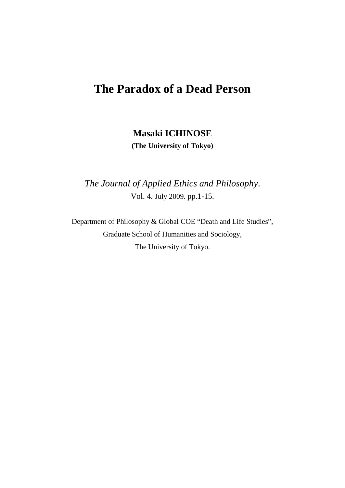# **The Paradox of a Dead Person**

**Masaki ICHINOSE (The University of Tokyo)** 

*The Journal of Applied Ethics and Philosophy*. Vol. 4. July 2009. pp.1-15.

Department of Philosophy & Global COE "Death and Life Studies", Graduate School of Humanities and Sociology, The University of Tokyo.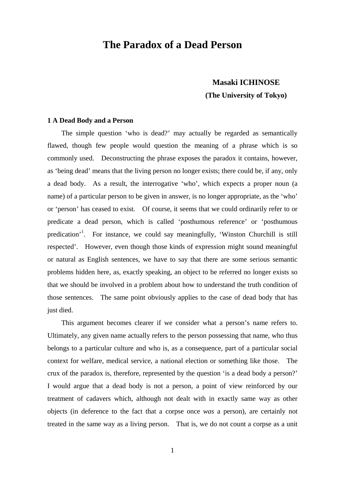## **The Paradox of a Dead Person**

### **Masaki ICHINOSE (The University of Tokyo)**

#### **1 A Dead Body and a Person**

The simple question 'who is dead?' may actually be regarded as semantically flawed, though few people would question the meaning of a phrase which is so commonly used. Deconstructing the phrase exposes the paradox it contains, however, as 'being dead' means that the living person no longer exists; there could be, if any, only a dead body. As a result, the interrogative 'who', which expects a proper noun (a name) of a particular person to be given in answer, is no longer appropriate, as the 'who' or 'person' has ceased to exist. Of course, it seems that we could ordinarily refer to or predicate a dead person, which is called 'posthumous reference' or 'posthumous predication<sup>'[1](#page-13-0)</sup>. For instance, we could say meaningfully, 'Winston Churchill is still respected'. However, even though those kinds of expression might sound meaningful or natural as English sentences, we have to say that there are some serious semantic problems hidden here, as, exactly speaking, an object to be referred no longer exists so that we should be involved in a problem about how to understand the truth condition of those sentences. The same point obviously applies to the case of dead body that has just died.

This argument becomes clearer if we consider what a person's name refers to. Ultimately, any given name actually refers to the person possessing that name, who thus belongs to a particular culture and who is, as a consequence, part of a particular social context for welfare, medical service, a national election or something like those. The crux of the paradox is, therefore, represented by the question 'is a dead body a person?' I would argue that a dead body is not a person, a point of view reinforced by our treatment of cadavers which, although not dealt with in exactly same way as other objects (in deference to the fact that a corpse once *was* a person), are certainly not treated in the same way as a living person. That is, we do not count a corpse as a unit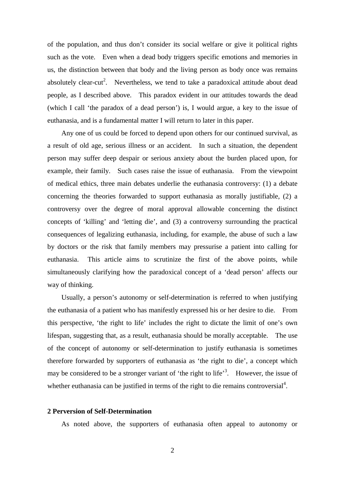of the population, and thus don't consider its social welfare or give it political rights such as the vote. Even when a dead body triggers specific emotions and memories in us, the distinction between that body and the living person as body once was remains absolutely clear-cut<sup>[2](#page-13-0)</sup>. Nevertheless, we tend to take a paradoxical attitude about dead people, as I described above. This paradox evident in our attitudes towards the dead (which I call 'the paradox of a dead person') is, I would argue, a key to the issue of euthanasia, and is a fundamental matter I will return to later in this paper.

Any one of us could be forced to depend upon others for our continued survival, as a result of old age, serious illness or an accident. In such a situation, the dependent person may suffer deep despair or serious anxiety about the burden placed upon, for example, their family. Such cases raise the issue of euthanasia. From the viewpoint of medical ethics, three main debates underlie the euthanasia controversy: (1) a debate concerning the theories forwarded to support euthanasia as morally justifiable, (2) a controversy over the degree of moral approval allowable concerning the distinct concepts of 'killing' and 'letting die', and (3) a controversy surrounding the practical consequences of legalizing euthanasia, including, for example, the abuse of such a law by doctors or the risk that family members may pressurise a patient into calling for euthanasia. This article aims to scrutinize the first of the above points, while simultaneously clarifying how the paradoxical concept of a 'dead person' affects our way of thinking.

Usually, a person's autonomy or self-determination is referred to when justifying the euthanasia of a patient who has manifestly expressed his or her desire to die. From this perspective, 'the right to life' includes the right to dictate the limit of one's own lifespan, suggesting that, as a result, euthanasia should be morally acceptable. The use of the concept of autonomy or self-determination to justify euthanasia is sometimes therefore forwarded by supporters of euthanasia as 'the right to die', a concept which may be considered to be a stronger variant of 'the right to life'<sup>[3](#page-13-0)</sup>. However, the issue of whether euthanasia can be justified in terms of the right to die remains controversial<sup>[4](#page-13-0)</sup>.

#### **2 Perversion of Self-Determination**

As noted above, the supporters of euthanasia often appeal to autonomy or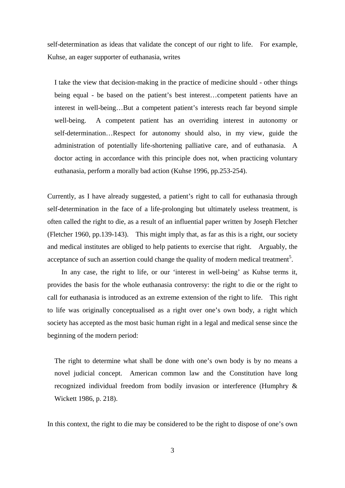self-determination as ideas that validate the concept of our right to life. For example, Kuhse, an eager supporter of euthanasia, writes

I take the view that decision-making in the practice of medicine should - other things being equal - be based on the patient's best interest…competent patients have an interest in well-being…But a competent patient's interests reach far beyond simple well-being. A competent patient has an overriding interest in autonomy or self-determination…Respect for autonomy should also, in my view, guide the administration of potentially life-shortening palliative care, and of euthanasia. A doctor acting in accordance with this principle does not, when practicing voluntary euthanasia, perform a morally bad action (Kuhse 1996, pp.253-254).

Currently, as I have already suggested, a patient's right to call for euthanasia through self-determination in the face of a life-prolonging but ultimately useless treatment, is often called the right to die, as a result of an influential paper written by Joseph Fletcher (Fletcher 1960, pp.139-143). This might imply that, as far as this is a right, our society and medical institutes are obliged to help patients to exercise that right. Arguably, the acceptance of such an assertion could change the quality of modern medical treatment<sup>[5](#page-13-0)</sup>.

In any case, the right to life, or our 'interest in well-being' as Kuhse terms it, provides the basis for the whole euthanasia controversy: the right to die or the right to call for euthanasia is introduced as an extreme extension of the right to life. This right to life was originally conceptualised as a right over one's own body, a right which society has accepted as the most basic human right in a legal and medical sense since the beginning of the modern period:

The right to determine what shall be done with one's own body is by no means a novel judicial concept. American common law and the Constitution have long recognized individual freedom from bodily invasion or interference (Humphry & Wickett 1986, p. 218).

In this context, the right to die may be considered to be the right to dispose of one's own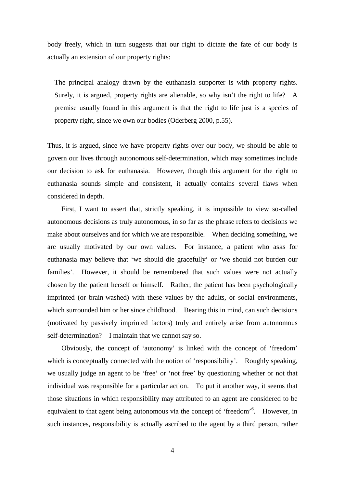body freely, which in turn suggests that our right to dictate the fate of our body is actually an extension of our property rights:

The principal analogy drawn by the euthanasia supporter is with property rights. Surely, it is argued, property rights are alienable, so why isn't the right to life? A premise usually found in this argument is that the right to life just is a species of property right, since we own our bodies (Oderberg 2000, p.55).

Thus, it is argued, since we have property rights over our body, we should be able to govern our lives through autonomous self-determination, which may sometimes include our decision to ask for euthanasia. However, though this argument for the right to euthanasia sounds simple and consistent, it actually contains several flaws when considered in depth.

First, I want to assert that, strictly speaking, it is impossible to view so-called autonomous decisions as truly autonomous, in so far as the phrase refers to decisions we make about ourselves and for which we are responsible. When deciding something, we are usually motivated by our own values. For instance, a patient who asks for euthanasia may believe that 'we should die gracefully' or 'we should not burden our families'. However, it should be remembered that such values were not actually chosen by the patient herself or himself. Rather, the patient has been psychologically imprinted (or brain-washed) with these values by the adults, or social environments, which surrounded him or her since childhood. Bearing this in mind, can such decisions (motivated by passively imprinted factors) truly and entirely arise from autonomous self-determination? I maintain that we cannot say so.

Obviously, the concept of 'autonomy' is linked with the concept of 'freedom' which is conceptually connected with the notion of 'responsibility'. Roughly speaking, we usually judge an agent to be 'free' or 'not free' by questioning whether or not that individual was responsible for a particular action. To put it another way, it seems that those situations in which responsibility may attributed to an agent are considered to be equivalent to that agent being autonomous via the concept of 'freedom'<sup>[6](#page-13-0)</sup>. However, in such instances, responsibility is actually ascribed to the agent by a third person, rather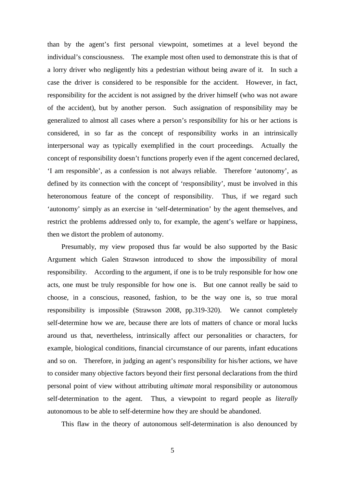than by the agent's first personal viewpoint, sometimes at a level beyond the individual's consciousness. The example most often used to demonstrate this is that of a lorry driver who negligently hits a pedestrian without being aware of it. In such a case the driver is considered to be responsible for the accident. However, in fact, responsibility for the accident is not assigned by the driver himself (who was not aware of the accident), but by another person. Such assignation of responsibility may be generalized to almost all cases where a person's responsibility for his or her actions is considered, in so far as the concept of responsibility works in an intrinsically interpersonal way as typically exemplified in the court proceedings. Actually the concept of responsibility doesn't functions properly even if the agent concerned declared, 'I am responsible', as a confession is not always reliable. Therefore 'autonomy', as defined by its connection with the concept of 'responsibility', must be involved in this heteronomous feature of the concept of responsibility. Thus, if we regard such 'autonomy' simply as an exercise in 'self-determination' by the agent themselves, and restrict the problems addressed only to, for example, the agent's welfare or happiness, then we distort the problem of autonomy.

Presumably, my view proposed thus far would be also supported by the Basic Argument which Galen Strawson introduced to show the impossibility of moral responsibility. According to the argument, if one is to be truly responsible for how one acts, one must be truly responsible for how one is. But one cannot really be said to choose, in a conscious, reasoned, fashion, to be the way one is, so true moral responsibility is impossible (Strawson 2008, pp.319-320). We cannot completely self-determine how we are, because there are lots of matters of chance or moral lucks around us that, nevertheless, intrinsically affect our personalities or characters, for example, biological conditions, financial circumstance of our parents, infant educations and so on. Therefore, in judging an agent's responsibility for his/her actions, we have to consider many objective factors beyond their first personal declarations from the third personal point of view without attributing *ultimate* moral responsibility or autonomous self-determination to the agent. Thus, a viewpoint to regard people as *literally* autonomous to be able to self-determine how they are should be abandoned.

This flaw in the theory of autonomous self-determination is also denounced by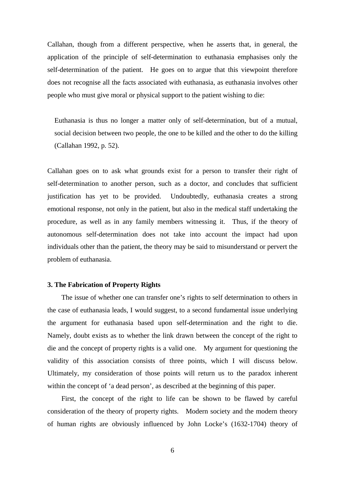Callahan, though from a different perspective, when he asserts that, in general, the application of the principle of self-determination to euthanasia emphasises only the self-determination of the patient. He goes on to argue that this viewpoint therefore does not recognise all the facts associated with euthanasia, as euthanasia involves other people who must give moral or physical support to the patient wishing to die:

Euthanasia is thus no longer a matter only of self-determination, but of a mutual, social decision between two people, the one to be killed and the other to do the killing (Callahan 1992, p. 52).

Callahan goes on to ask what grounds exist for a person to transfer their right of self-determination to another person, such as a doctor, and concludes that sufficient justification has yet to be provided. Undoubtedly, euthanasia creates a strong emotional response, not only in the patient, but also in the medical staff undertaking the procedure, as well as in any family members witnessing it. Thus, if the theory of autonomous self-determination does not take into account the impact had upon individuals other than the patient, the theory may be said to misunderstand or pervert the problem of euthanasia.

#### **3. The Fabrication of Property Rights**

The issue of whether one can transfer one's rights to self determination to others in the case of euthanasia leads, I would suggest, to a second fundamental issue underlying the argument for euthanasia based upon self-determination and the right to die. Namely, doubt exists as to whether the link drawn between the concept of the right to die and the concept of property rights is a valid one. My argument for questioning the validity of this association consists of three points, which I will discuss below. Ultimately, my consideration of those points will return us to the paradox inherent within the concept of 'a dead person', as described at the beginning of this paper.

First, the concept of the right to life can be shown to be flawed by careful consideration of the theory of property rights. Modern society and the modern theory of human rights are obviously influenced by John Locke's (1632-1704) theory of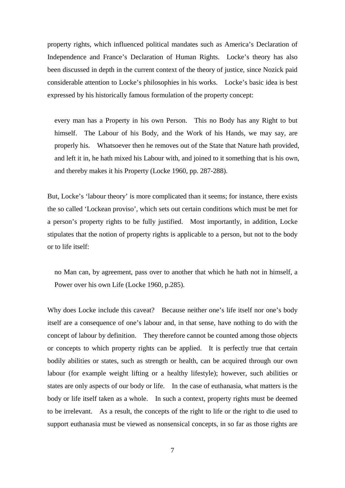property rights, which influenced political mandates such as America's Declaration of Independence and France's Declaration of Human Rights. Locke's theory has also been discussed in depth in the current context of the theory of justice, since Nozick paid considerable attention to Locke's philosophies in his works. Locke's basic idea is best expressed by his historically famous formulation of the property concept:

every man has a Property in his own Person. This no Body has any Right to but himself. The Labour of his Body, and the Work of his Hands, we may say, are properly his. Whatsoever then he removes out of the State that Nature hath provided, and left it in, he hath mixed his Labour with, and joined to it something that is his own, and thereby makes it his Property (Locke 1960, pp. 287-288).

But, Locke's 'labour theory' is more complicated than it seems; for instance, there exists the so called 'Lockean proviso', which sets out certain conditions which must be met for a person's property rights to be fully justified. Most importantly, in addition, Locke stipulates that the notion of property rights is applicable to a person, but not to the body or to life itself:

no Man can, by agreement, pass over to another that which he hath not in himself, a Power over his own Life (Locke 1960, p.285).

Why does Locke include this caveat? Because neither one's life itself nor one's body itself are a consequence of one's labour and, in that sense, have nothing to do with the concept of labour by definition. They therefore cannot be counted among those objects or concepts to which property rights can be applied. It is perfectly true that certain bodily abilities or states, such as strength or health, can be acquired through our own labour (for example weight lifting or a healthy lifestyle); however, such abilities or states are only aspects of our body or life. In the case of euthanasia, what matters is the body or life itself taken as a whole. In such a context, property rights must be deemed to be irrelevant. As a result, the concepts of the right to life or the right to die used to support euthanasia must be viewed as nonsensical concepts, in so far as those rights are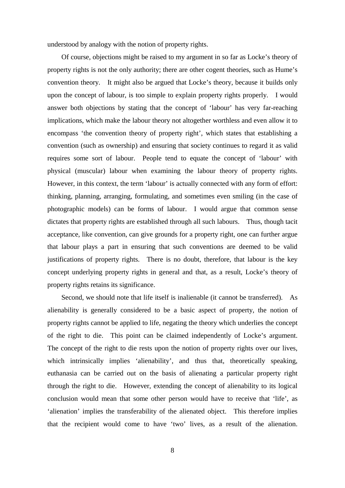understood by analogy with the notion of property rights.

Of course, objections might be raised to my argument in so far as Locke's theory of property rights is not the only authority; there are other cogent theories, such as Hume's convention theory. It might also be argued that Locke's theory, because it builds only upon the concept of labour, is too simple to explain property rights properly. I would answer both objections by stating that the concept of 'labour' has very far-reaching implications, which make the labour theory not altogether worthless and even allow it to encompass 'the convention theory of property right', which states that establishing a convention (such as ownership) and ensuring that society continues to regard it as valid requires some sort of labour. People tend to equate the concept of 'labour' with physical (muscular) labour when examining the labour theory of property rights. However, in this context, the term 'labour' is actually connected with any form of effort: thinking, planning, arranging, formulating, and sometimes even smiling (in the case of photographic models) can be forms of labour. I would argue that common sense dictates that property rights are established through all such labours. Thus, though tacit acceptance, like convention, can give grounds for a property right, one can further argue that labour plays a part in ensuring that such conventions are deemed to be valid justifications of property rights. There is no doubt, therefore, that labour is the key concept underlying property rights in general and that, as a result, Locke's theory of property rights retains its significance.

Second, we should note that life itself is inalienable (it cannot be transferred). As alienability is generally considered to be a basic aspect of property, the notion of property rights cannot be applied to life, negating the theory which underlies the concept of the right to die. This point can be claimed independently of Locke's argument. The concept of the right to die rests upon the notion of property rights over our lives, which intrinsically implies 'alienability', and thus that, theoretically speaking, euthanasia can be carried out on the basis of alienating a particular property right through the right to die. However, extending the concept of alienability to its logical conclusion would mean that some other person would have to receive that 'life', as 'alienation' implies the transferability of the alienated object. This therefore implies that the recipient would come to have 'two' lives, as a result of the alienation.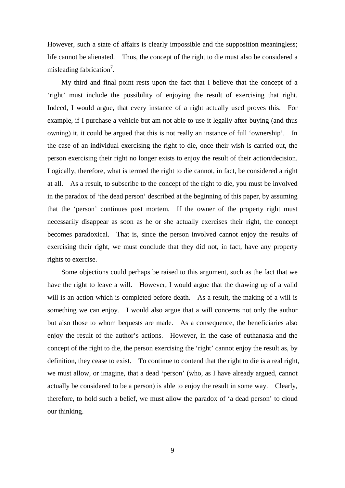However, such a state of affairs is clearly impossible and the supposition meaningless; life cannot be alienated. Thus, the concept of the right to die must also be considered a misleading fabrication<sup>[7](#page-14-0)</sup>.

My third and final point rests upon the fact that I believe that the concept of a 'right' must include the possibility of enjoying the result of exercising that right. Indeed, I would argue, that every instance of a right actually used proves this. For example, if I purchase a vehicle but am not able to use it legally after buying (and thus owning) it, it could be argued that this is not really an instance of full 'ownership'. In the case of an individual exercising the right to die, once their wish is carried out, the person exercising their right no longer exists to enjoy the result of their action/decision. Logically, therefore, what is termed the right to die cannot, in fact, be considered a right at all. As a result, to subscribe to the concept of the right to die, you must be involved in the paradox of 'the dead person' described at the beginning of this paper, by assuming that the 'person' continues post mortem. If the owner of the property right must necessarily disappear as soon as he or she actually exercises their right, the concept becomes paradoxical. That is, since the person involved cannot enjoy the results of exercising their right, we must conclude that they did not, in fact, have any property rights to exercise.

Some objections could perhaps be raised to this argument, such as the fact that we have the right to leave a will. However, I would argue that the drawing up of a valid will is an action which is completed before death. As a result, the making of a will is something we can enjoy. I would also argue that a will concerns not only the author but also those to whom bequests are made. As a consequence, the beneficiaries also enjoy the result of the author's actions. However, in the case of euthanasia and the concept of the right to die, the person exercising the 'right' cannot enjoy the result as, by definition, they cease to exist. To continue to contend that the right to die is a real right, we must allow, or imagine, that a dead 'person' (who, as I have already argued, cannot actually be considered to be a person) is able to enjoy the result in some way. Clearly, therefore, to hold such a belief, we must allow the paradox of 'a dead person' to cloud our thinking.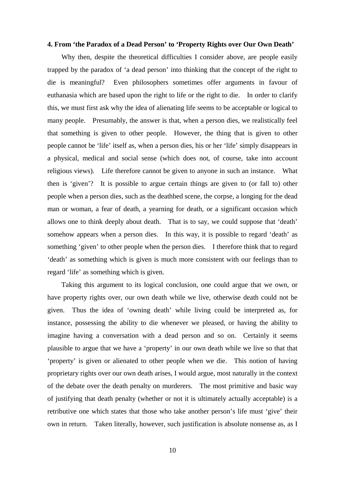#### **4. From 'the Paradox of a Dead Person' to 'Property Rights over Our Own Death'**

Why then, despite the theoretical difficulties I consider above, are people easily trapped by the paradox of 'a dead person' into thinking that the concept of the right to die is meaningful? Even philosophers sometimes offer arguments in favour of euthanasia which are based upon the right to life or the right to die. In order to clarify this, we must first ask why the idea of alienating life seems to be acceptable or logical to many people. Presumably, the answer is that, when a person dies, we realistically feel that something is given to other people. However, the thing that is given to other people cannot be 'life' itself as, when a person dies, his or her 'life' simply disappears in a physical, medical and social sense (which does not, of course, take into account religious views). Life therefore cannot be given to anyone in such an instance. What then is 'given'? It is possible to argue certain things are given to (or fall to) other people when a person dies, such as the deathbed scene, the corpse, a longing for the dead man or woman, a fear of death, a yearning for death, or a significant occasion which allows one to think deeply about death. That is to say, we could suppose that 'death' somehow appears when a person dies. In this way, it is possible to regard 'death' as something 'given' to other people when the person dies. I therefore think that to regard 'death' as something which is given is much more consistent with our feelings than to regard 'life' as something which is given.

Taking this argument to its logical conclusion, one could argue that we own, or have property rights over, our own death while we live, otherwise death could not be given. Thus the idea of 'owning death' while living could be interpreted as, for instance, possessing the ability to die whenever we pleased, or having the ability to imagine having a conversation with a dead person and so on. Certainly it seems plausible to argue that we have a 'property' in our own death while we live so that that 'property' is given or alienated to other people when we die. This notion of having proprietary rights over our own death arises, I would argue, most naturally in the context of the debate over the death penalty on murderers. The most primitive and basic way of justifying that death penalty (whether or not it is ultimately actually acceptable) is a retributive one which states that those who take another person's life must 'give' their own in return. Taken literally, however, such justification is absolute nonsense as, as I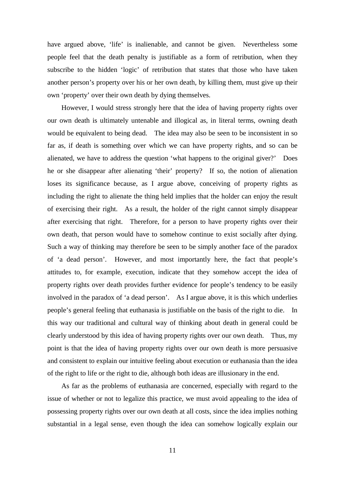have argued above, 'life' is inalienable, and cannot be given. Nevertheless some people feel that the death penalty is justifiable as a form of retribution, when they subscribe to the hidden 'logic' of retribution that states that those who have taken another person's property over his or her own death, by killing them, must give up their own 'property' over their own death by dying themselves.

However, I would stress strongly here that the idea of having property rights over our own death is ultimately untenable and illogical as, in literal terms, owning death would be equivalent to being dead. The idea may also be seen to be inconsistent in so far as, if death is something over which we can have property rights, and so can be alienated, we have to address the question 'what happens to the original giver?' Does he or she disappear after alienating 'their' property? If so, the notion of alienation loses its significance because, as I argue above, conceiving of property rights as including the right to alienate the thing held implies that the holder can enjoy the result of exercising their right. As a result, the holder of the right cannot simply disappear after exercising that right. Therefore, for a person to have property rights over their own death, that person would have to somehow continue to exist socially after dying. Such a way of thinking may therefore be seen to be simply another face of the paradox of 'a dead person'. However, and most importantly here, the fact that people's attitudes to, for example, execution, indicate that they somehow accept the idea of property rights over death provides further evidence for people's tendency to be easily involved in the paradox of 'a dead person'. As I argue above, it is this which underlies people's general feeling that euthanasia is justifiable on the basis of the right to die. In this way our traditional and cultural way of thinking about death in general could be clearly understood by this idea of having property rights over our own death. Thus, my point is that the idea of having property rights over our own death is more persuasive and consistent to explain our intuitive feeling about execution or euthanasia than the idea of the right to life or the right to die, although both ideas are illusionary in the end.

As far as the problems of euthanasia are concerned, especially with regard to the issue of whether or not to legalize this practice, we must avoid appealing to the idea of possessing property rights over our own death at all costs, since the idea implies nothing substantial in a legal sense, even though the idea can somehow logically explain our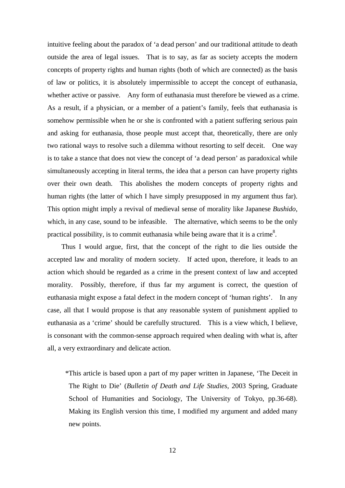intuitive feeling about the paradox of 'a dead person' and our traditional attitude to death outside the area of legal issues. That is to say, as far as society accepts the modern concepts of property rights and human rights (both of which are connected) as the basis of law or politics, it is absolutely impermissible to accept the concept of euthanasia, whether active or passive. Any form of euthanasia must therefore be viewed as a crime. As a result, if a physician, or a member of a patient's family, feels that euthanasia is somehow permissible when he or she is confronted with a patient suffering serious pain and asking for euthanasia, those people must accept that, theoretically, there are only two rational ways to resolve such a dilemma without resorting to self deceit. One way is to take a stance that does not view the concept of 'a dead person' as paradoxical while simultaneously accepting in literal terms, the idea that a person can have property rights over their own death. This abolishes the modern concepts of property rights and human rights (the latter of which I have simply presupposed in my argument thus far). This option might imply a revival of medieval sense of morality like Japanese *Bushido*, which, in any case, sound to be infeasible. The alternative, which seems to be the only practical possibility, is to commit euthanasia while being aware that it is a crime<sup>[8](#page-14-0)</sup>.

Thus I would argue, first, that the concept of the right to die lies outside the accepted law and morality of modern society. If acted upon, therefore, it leads to an action which should be regarded as a crime in the present context of law and accepted morality. Possibly, therefore, if thus far my argument is correct, the question of euthanasia might expose a fatal defect in the modern concept of 'human rights'. In any case, all that I would propose is that any reasonable system of punishment applied to euthanasia as a 'crime' should be carefully structured. This is a view which, I believe, is consonant with the common-sense approach required when dealing with what is, after all, a very extraordinary and delicate action.

\*This article is based upon a part of my paper written in Japanese, 'The Deceit in The Right to Die' (*Bulletin of Death and Life Studies*, 2003 Spring, Graduate School of Humanities and Sociology, The University of Tokyo, pp.36-68). Making its English version this time, I modified my argument and added many new points.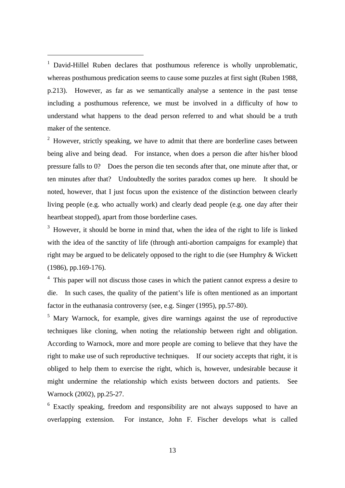<span id="page-13-0"></span> $1$  David-Hillel Ruben declares that posthumous reference is wholly unproblematic, whereas posthumous predication seems to cause some puzzles at first sight (Ruben 1988, p.213). However, as far as we semantically analyse a sentence in the past tense including a posthumous reference, we must be involved in a difficulty of how to understand what happens to the dead person referred to and what should be a truth maker of the sentence.

 $2$  However, strictly speaking, we have to admit that there are borderline cases between being alive and being dead. For instance, when does a person die after his/her blood pressure falls to 0? Does the person die ten seconds after that, one minute after that, or ten minutes after that? Undoubtedly the sorites paradox comes up here. It should be noted, however, that I just focus upon the existence of the distinction between clearly living people (e.g. who actually work) and clearly dead people (e.g. one day after their heartbeat stopped), apart from those borderline cases.

<sup>3</sup> However, it should be borne in mind that, when the idea of the right to life is linked with the idea of the sanctity of life (through anti-abortion campaigns for example) that right may be argued to be delicately opposed to the right to die (see Humphry & Wickett (1986), pp.169-176).

<sup>4</sup> This paper will not discuss those cases in which the patient cannot express a desire to die. In such cases, the quality of the patient's life is often mentioned as an important factor in the euthanasia controversy (see, e.g. Singer (1995), pp.57-80).

 $<sup>5</sup>$  Mary Warnock, for example, gives dire warnings against the use of reproductive</sup> techniques like cloning, when noting the relationship between right and obligation. According to Warnock, more and more people are coming to believe that they have the right to make use of such reproductive techniques. If our society accepts that right, it is obliged to help them to exercise the right, which is, however, undesirable because it might undermine the relationship which exists between doctors and patients. See Warnock (2002), pp.25-27.

<sup>6</sup> Exactly speaking, freedom and responsibility are not always supposed to have an overlapping extension. For instance, John F. Fischer develops what is called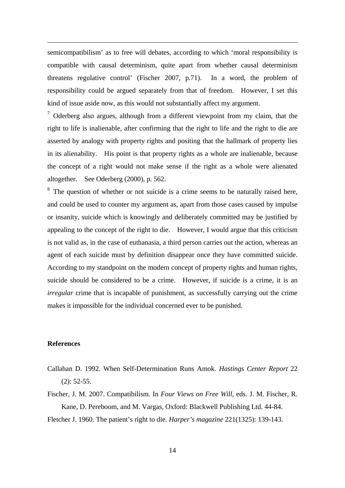<span id="page-14-0"></span>semicompatibilism' as to free will debates, according to which 'moral responsibility is compatible with causal determinism, quite apart from whether causal determinism threatens regulative control' (Fischer 2007, p.71). In a word, the problem of responsibility could be argued separately from that of freedom. However, I set this kind of issue aside now, as this would not substantially affect my argument.

 $\frac{7}{7}$  Oderberg also argues, although from a different viewpoint from my claim, that the right to life is inalienable, after confirming that the right to life and the right to die are asserted by analogy with property rights and positing that the hallmark of property lies in its alienability. His point is that property rights as a whole are inalienable, because the concept of a right would not make sense if the right as a whole were alienated altogether. See Oderberg (2000), p. 562.

<sup>8</sup> The question of whether or not suicide is a crime seems to be naturally raised here, and could be used to counter my argument as, apart from those cases caused by impulse or insanity, suicide which is knowingly and deliberately committed may be justified by appealing to the concept of the right to die. However, I would argue that this criticism is not valid as, in the case of euthanasia, a third person carries out the action, whereas an agent of each suicide must by definition disappear once they have committed suicide. According to my standpoint on the modern concept of property rights and human rights, suicide should be considered to be a crime. However, if suicide is a crime, it is an *irregular* crime that is incapable of punishment, as successfully carrying out the crime makes it impossible for the individual concerned ever to be punished.

#### **References**

- Callahan D. 1992. When Self-Determination Runs Amok. *Hastings Center Report* 22 (2): 52-55.
- Fischer, J. M. 2007. Compatibilism. In *Four Views on Free Will*, eds. J. M. Fischer, R. Kane, D. Pereboom, and M. Vargas, Oxford: Blackwell Publishing Ltd. 44-84.
- Fletcher J. 1960. The patient's right to die. *Harper's magazine* 221(1325): 139-143.